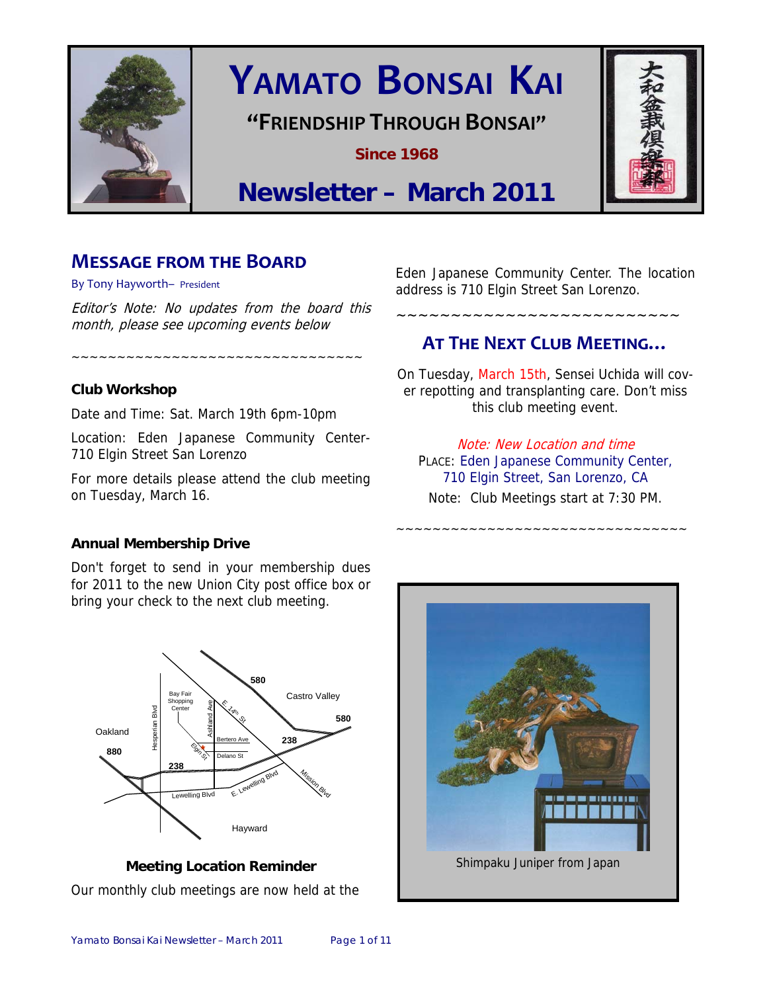

# **YAMATO BONSAI KAI**

## **"FRIENDSHIP THROUGH BONSAI"**

**Since 1968** 



# **Newsletter – March 2011**

### **MESSAGE FROM THE BOARD**

By Tony Hayworth– President

Editor's Note: No updates from the board this month, please see upcoming events below

~~~~~~~~~~~~~~~~~~~~~~~~~~~~~~~~

#### **Club Workshop**

Date and Time: Sat. March 19th 6pm-10pm

Location: Eden Japanese Community Center-710 Elgin Street San Lorenzo

For more details please attend the club meeting on Tuesday, March 16.

Eden Japanese Community Center. The location address is 710 Elgin Street San Lorenzo.

### **AT THE NEXT CLUB MEETING…**

~~~~~~~~~~~~~~~~~~~~~~~~~~

On Tuesday, March 15th, Sensei Uchida will cover repotting and transplanting care. Don't miss this club meeting event.

Note: New Location and time PLACE: Eden Japanese Community Center, 710 Elgin Street, San Lorenzo, CA Note: Club Meetings start at 7:30 PM.

~~~~~~~~~~~~~~~~~~~~~~~~~~~~~~~~

#### **Annual Membership Drive**

Don't forget to send in your membership dues for 2011 to the new Union City post office box or bring your check to the next club meeting.



**Meeting Location Reminder**  Our monthly club meetings are now held at the

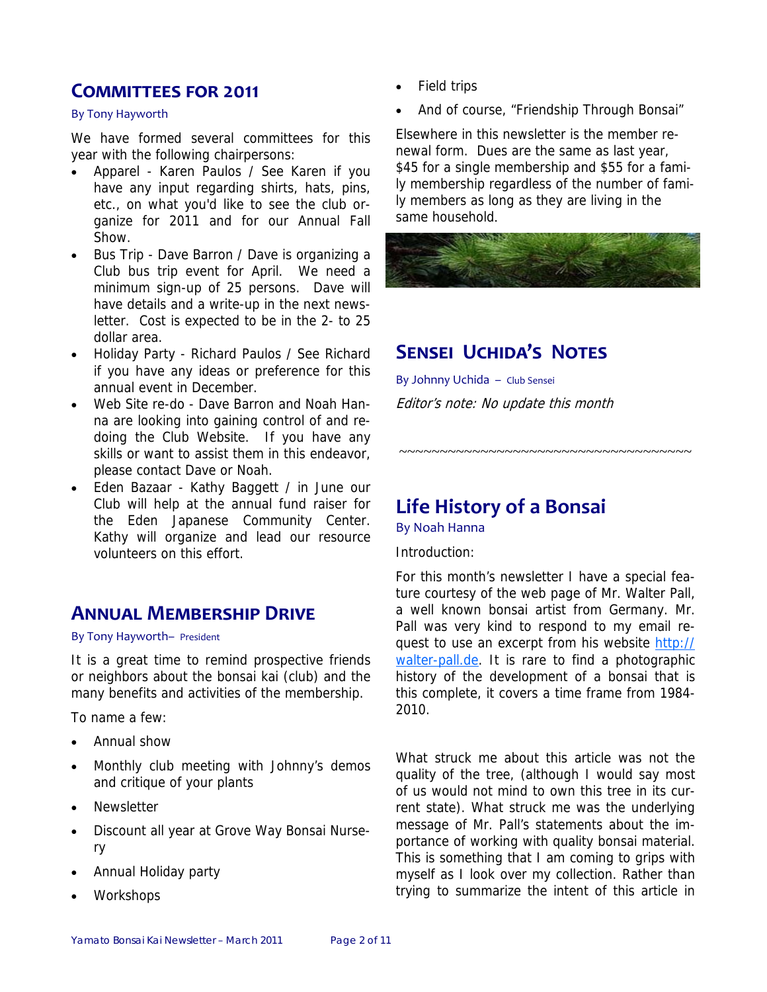### **COMMITTEES FOR 2011**

#### By Tony Hayworth

We have formed several committees for this year with the following chairpersons:

- Apparel Karen Paulos / See Karen if you have any input regarding shirts, hats, pins, etc., on what you'd like to see the club organize for 2011 and for our Annual Fall Show.
- Bus Trip Dave Barron / Dave is organizing a Club bus trip event for April. We need a minimum sign-up of 25 persons. Dave will have details and a write-up in the next newsletter. Cost is expected to be in the 2- to 25 dollar area.
- Holiday Party Richard Paulos / See Richard if you have any ideas or preference for this annual event in December.
- Web Site re-do Dave Barron and Noah Hanna are looking into gaining control of and redoing the Club Website. If you have any skills or want to assist them in this endeavor, please contact Dave or Noah.
- Eden Bazaar Kathy Baggett / in June our Club will help at the annual fund raiser for the Eden Japanese Community Center. Kathy will organize and lead our resource volunteers on this effort.

### **ANNUAL MEMBERSHIP DRIVE**

By Tony Hayworth– President

It is a great time to remind prospective friends or neighbors about the bonsai kai (club) and the many benefits and activities of the membership.

To name a few:

- Annual show
- Monthly club meeting with Johnny's demos and critique of your plants
- **Newsletter**
- Discount all year at Grove Way Bonsai Nursery
- Annual Holiday party
- Workshops
- Field trips
- And of course, "Friendship Through Bonsai"

Elsewhere in this newsletter is the member renewal form. Dues are the same as last year, \$45 for a single membership and \$55 for a family membership regardless of the number of family members as long as they are living in the same household.



# **SENSEI UCHIDA'S NOTES**

By Johnny Uchida – Club Sensei Editor's note: No update this month

# **Life History of a Bonsai**

By Noah Hanna

Introduction:

For this month's newsletter I have a special feature courtesy of the web page of Mr. Walter Pall, a well known bonsai artist from Germany. Mr. Pall was very kind to respond to my email request to use an excerpt from his website http:// walter-pall.de. It is rare to find a photographic history of the development of a bonsai that is this complete, it covers a time frame from 1984- 2010.

~~~~~~~~~~~~~~~~~~~~~~~~~~~~~~~~~~~~

What struck me about this article was not the quality of the tree, (although I would say most of us would not mind to own this tree in its current state). What struck me was the underlying message of Mr. Pall's statements about the importance of working with quality bonsai material. This is something that I am coming to grips with myself as I look over my collection. Rather than trying to summarize the intent of this article in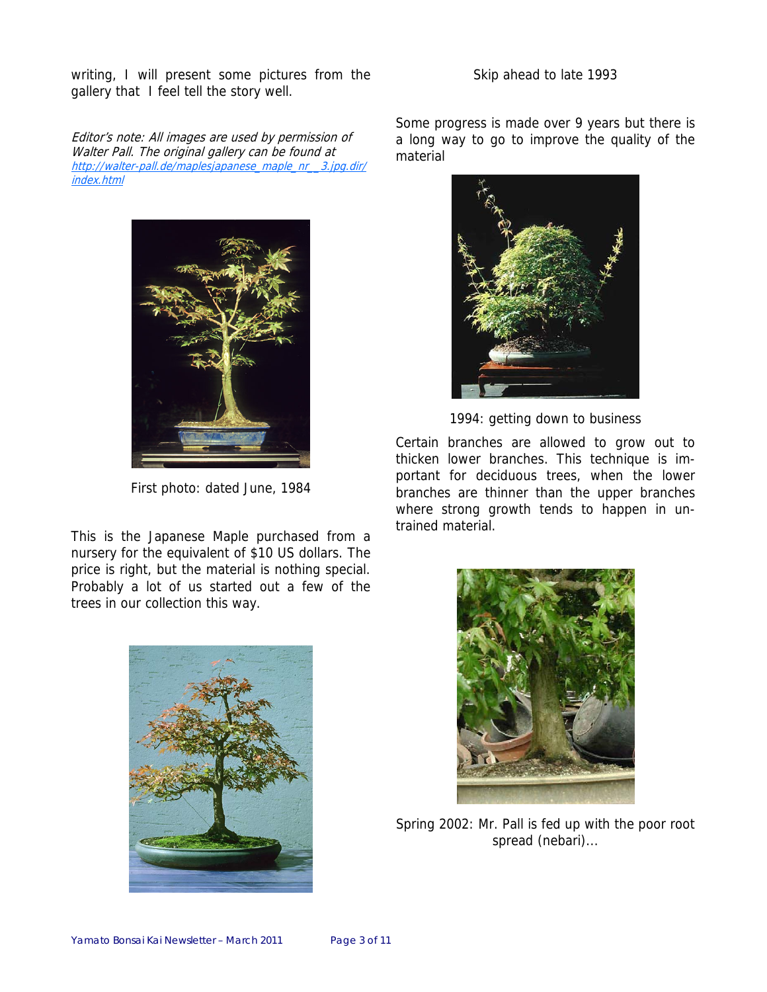writing, I will present some pictures from the gallery that I feel tell the story well.

Editor's note: All images are used by permission of Walter Pall. The original gallery can be found at http://walter-pall.de/maplesjapanese\_maple\_nr\_\_3.jpg.dir/ index.html



First photo: dated June, 1984

This is the Japanese Maple purchased from a nursery for the equivalent of \$10 US dollars. The price is right, but the material is nothing special. Probably a lot of us started out a few of the trees in our collection this way.

#### Skip ahead to late 1993

Some progress is made over 9 years but there is a long way to go to improve the quality of the material



1994: getting down to business

Certain branches are allowed to grow out to thicken lower branches. This technique is important for deciduous trees, when the lower branches are thinner than the upper branches where strong growth tends to happen in untrained material.





Spring 2002: Mr. Pall is fed up with the poor root spread (nebari)...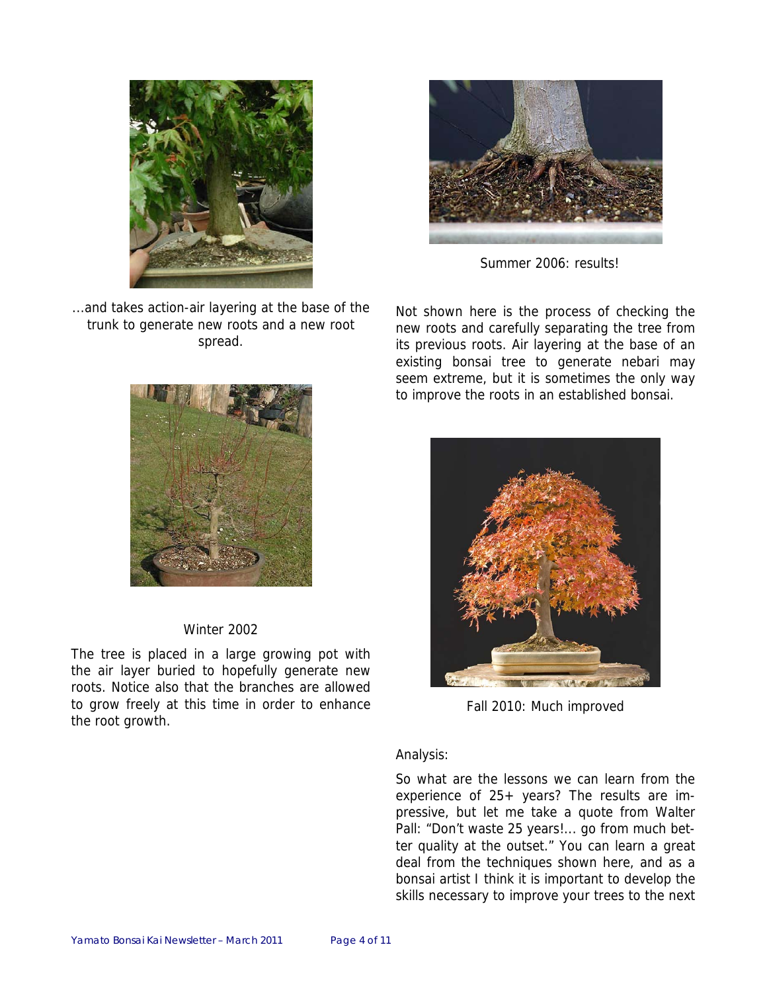

...and takes action-air layering at the base of the trunk to generate new roots and a new root spread.



#### Winter 2002

The tree is placed in a large growing pot with the air layer buried to hopefully generate new roots. Notice also that the branches are allowed to grow freely at this time in order to enhance the root growth.



Summer 2006: results!

Not shown here is the process of checking the new roots and carefully separating the tree from its previous roots. Air layering at the base of an existing bonsai tree to generate nebari may seem extreme, but it is sometimes the only way to improve the roots in an established bonsai.



Fall 2010: Much improved

#### Analysis:

So what are the lessons we can learn from the experience of 25+ years? The results are impressive, but let me take a quote from Walter Pall: "Don't waste 25 years!... go from much better quality at the outset." You can learn a great deal from the techniques shown here, and as a bonsai artist I think it is important to develop the skills necessary to improve your trees to the next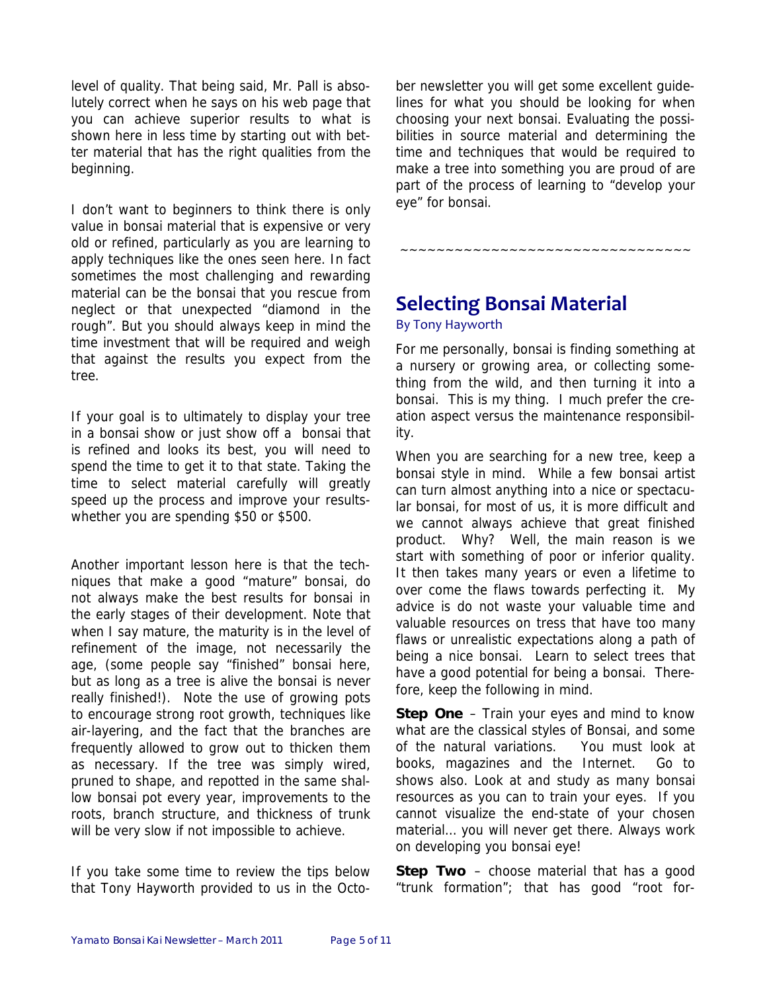level of quality. That being said, Mr. Pall is absolutely correct when he says on his web page that you can achieve superior results to what is shown here in less time by starting out with better material that has the right qualities from the beginning.

I don't want to beginners to think there is only value in bonsai material that is expensive or very old or refined, particularly as you are learning to apply techniques like the ones seen here. In fact sometimes the most challenging and rewarding material can be the bonsai that you rescue from neglect or that unexpected "diamond in the rough". But you should always keep in mind the time investment that will be required and weigh that against the results you expect from the tree.

If your goal is to ultimately to display your tree in a bonsai show or just show off a bonsai that is refined and looks its best, you will need to spend the time to get it to that state. Taking the time to select material carefully will greatly speed up the process and improve your resultswhether you are spending \$50 or \$500.

Another important lesson here is that the techniques that make a good "mature" bonsai, do not always make the best results for bonsai in the early stages of their development. Note that when I say mature, the maturity is in the level of refinement of the image, not necessarily the age, (some people say "finished" bonsai here, but as long as a tree is alive the bonsai is never really finished!). Note the use of growing pots to encourage strong root growth, techniques like air-layering, and the fact that the branches are frequently allowed to grow out to thicken them as necessary. If the tree was simply wired, pruned to shape, and repotted in the same shallow bonsai pot every year, improvements to the roots, branch structure, and thickness of trunk will be very slow if not impossible to achieve.

If you take some time to review the tips below that Tony Hayworth provided to us in the October newsletter you will get some excellent guidelines for what you should be looking for when choosing your next bonsai. Evaluating the possibilities in source material and determining the time and techniques that would be required to make a tree into something you are proud of are part of the process of learning to "develop your eye" for bonsai.

~~~~~~~~~~~~~~~~~~~~~~~~~~~~~~~~

# **Selecting Bonsai Material**

#### By Tony Hayworth

For me personally, bonsai is finding something at a nursery or growing area, or collecting something from the wild, and then turning it into a bonsai. This is my thing. I much prefer the creation aspect versus the maintenance responsibility.

When you are searching for a new tree, keep a bonsai style in mind. While a few bonsai artist can turn almost anything into a nice or spectacular bonsai, for most of us, it is more difficult and we cannot always achieve that great finished product. Why? Well, the main reason is we start with something of poor or inferior quality. It then takes many years or even a lifetime to over come the flaws towards perfecting it. My advice is do not waste your valuable time and valuable resources on tress that have too many flaws or unrealistic expectations along a path of being a nice bonsai. Learn to select trees that have a good potential for being a bonsai. Therefore, keep the following in mind.

**Step One** – Train your eyes and mind to know what are the classical styles of Bonsai, and some of the natural variations. You must look at books, magazines and the Internet. Go to shows also. Look at and study as many bonsai resources as you can to train your eyes. If you cannot visualize the end-state of your chosen material… you will never get there. Always work on developing you bonsai eye!

**Step Two** – choose material that has a good "trunk formation"; that has good "root for-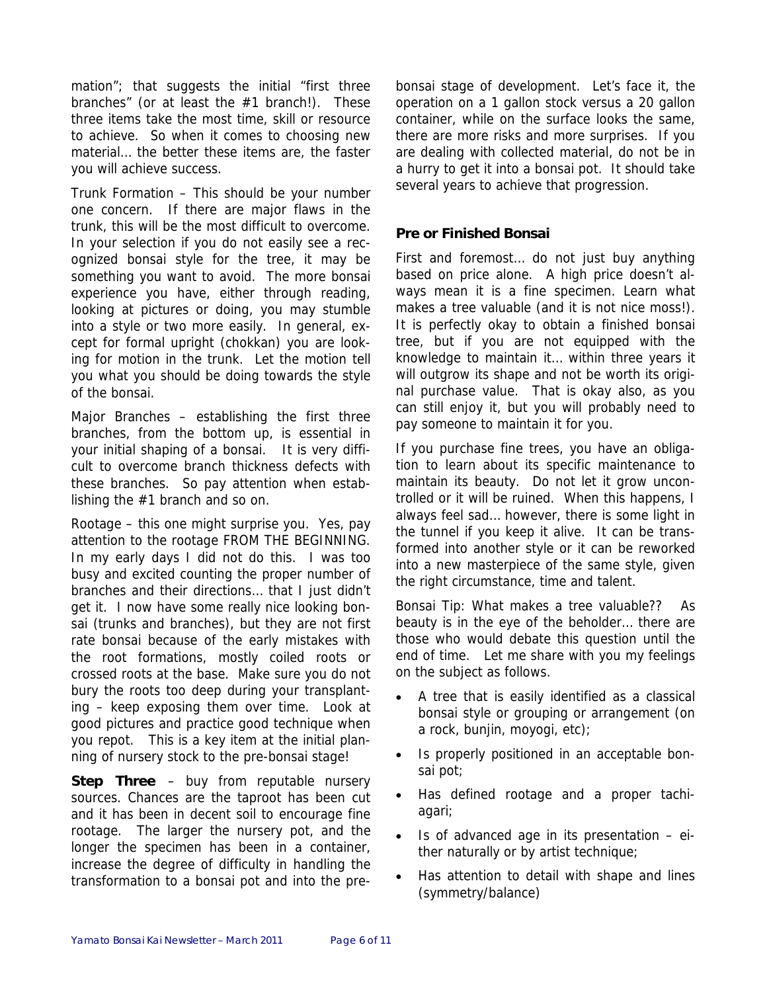mation"; that suggests the initial "first three branches" (or at least the #1 branch!). These three items take the most time, skill or resource to achieve. So when it comes to choosing new material… the better these items are, the faster you will achieve success.

Trunk Formation – This should be your number one concern. If there are major flaws in the trunk, this will be the most difficult to overcome. In your selection if you do not easily see a recognized bonsai style for the tree, it may be something you want to avoid. The more bonsai experience you have, either through reading, looking at pictures or doing, you may stumble into a style or two more easily. In general, except for formal upright (chokkan) you are looking for motion in the trunk. Let the motion tell you what you should be doing towards the style of the bonsai.

Major Branches – establishing the first three branches, from the bottom up, is essential in your initial shaping of a bonsai. It is very difficult to overcome branch thickness defects with these branches. So pay attention when establishing the #1 branch and so on.

Rootage – this one might surprise you. Yes, pay attention to the rootage FROM THE BEGINNING. In my early days I did not do this. I was too busy and excited counting the proper number of branches and their directions… that I just didn't get it. I now have some really nice looking bonsai (trunks and branches), but they are not first rate bonsai because of the early mistakes with the root formations, mostly coiled roots or crossed roots at the base. Make sure you do not bury the roots too deep during your transplanting – keep exposing them over time. Look at good pictures and practice good technique when you repot. This is a key item at the initial planning of nursery stock to the pre-bonsai stage!

**Step Three** – buy from reputable nursery sources. Chances are the taproot has been cut and it has been in decent soil to encourage fine rootage. The larger the nursery pot, and the longer the specimen has been in a container, increase the degree of difficulty in handling the transformation to a bonsai pot and into the prebonsai stage of development. Let's face it, the operation on a 1 gallon stock versus a 20 gallon container, while on the surface looks the same, there are more risks and more surprises. If you are dealing with collected material, do not be in a hurry to get it into a bonsai pot. It should take several years to achieve that progression.

#### **Pre or Finished Bonsai**

First and foremost… do not just buy anything based on price alone. A high price doesn't always mean it is a fine specimen. Learn what makes a tree valuable (and it is not nice moss!). It is perfectly okay to obtain a finished bonsai tree, but if you are not equipped with the knowledge to maintain it… within three years it will outgrow its shape and not be worth its original purchase value. That is okay also, as you can still enjoy it, but you will probably need to pay someone to maintain it for you.

If you purchase fine trees, you have an obligation to learn about its specific maintenance to maintain its beauty. Do not let it grow uncontrolled or it will be ruined. When this happens, I always feel sad… however, there is some light in the tunnel if you keep it alive. It can be transformed into another style or it can be reworked into a new masterpiece of the same style, given the right circumstance, time and talent.

Bonsai Tip: What makes a tree valuable?? As beauty is in the eye of the beholder… there are those who would debate this question until the end of time. Let me share with you my feelings on the subject as follows.

- A tree that is easily identified as a classical bonsai style or grouping or arrangement (on a rock, bunjin, moyogi, etc);
- Is properly positioned in an acceptable bonsai pot;
- Has defined rootage and a proper tachiagari;
- Is of advanced age in its presentation  $-$  either naturally or by artist technique;
- Has attention to detail with shape and lines (symmetry/balance)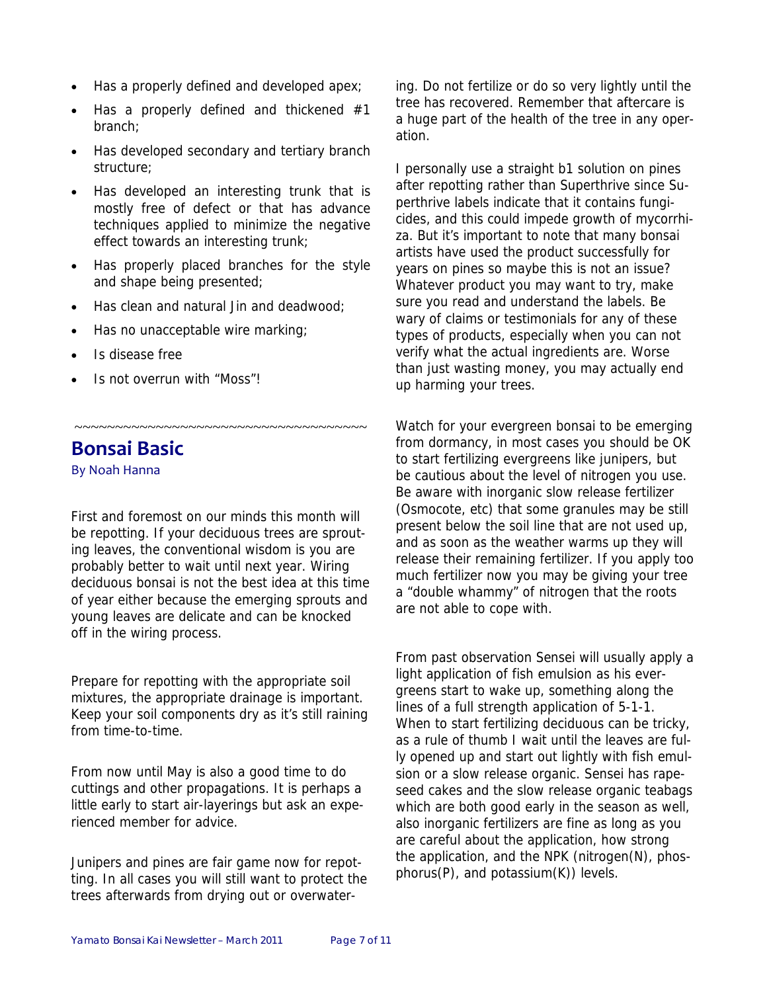- Has a properly defined and developed apex;
- Has a properly defined and thickened  $#1$ branch;
- Has developed secondary and tertiary branch structure;
- Has developed an interesting trunk that is mostly free of defect or that has advance techniques applied to minimize the negative effect towards an interesting trunk;
- Has properly placed branches for the style and shape being presented;
- Has clean and natural Jin and deadwood;
- Has no unacceptable wire marking;
- Is disease free
- Is not overrun with "Moss"!

# **Bonsai Basic**

By Noah Hanna

First and foremost on our minds this month will be repotting. If your deciduous trees are sprouting leaves, the conventional wisdom is you are probably better to wait until next year. Wiring deciduous bonsai is not the best idea at this time of year either because the emerging sprouts and young leaves are delicate and can be knocked off in the wiring process.

~~~~~~~~~~~~~~~~~~~~~~~~~~~~~~~~~~~~

Prepare for repotting with the appropriate soil mixtures, the appropriate drainage is important. Keep your soil components dry as it's still raining from time-to-time.

From now until May is also a good time to do cuttings and other propagations. It is perhaps a little early to start air-layerings but ask an experienced member for advice.

Junipers and pines are fair game now for repotting. In all cases you will still want to protect the trees afterwards from drying out or overwatering. Do not fertilize or do so very lightly until the tree has recovered. Remember that aftercare is a huge part of the health of the tree in any operation.

I personally use a straight b1 solution on pines after repotting rather than Superthrive since Superthrive labels indicate that it contains fungicides, and this could impede growth of mycorrhiza. But it's important to note that many bonsai artists have used the product successfully for years on pines so maybe this is not an issue? Whatever product you may want to try, make sure you read and understand the labels. Be wary of claims or testimonials for any of these types of products, especially when you can not verify what the actual ingredients are. Worse than just wasting money, you may actually end up harming your trees.

Watch for your evergreen bonsai to be emerging from dormancy, in most cases you should be OK to start fertilizing evergreens like junipers, but be cautious about the level of nitrogen you use. Be aware with inorganic slow release fertilizer (Osmocote, etc) that some granules may be still present below the soil line that are not used up, and as soon as the weather warms up they will release their remaining fertilizer. If you apply too much fertilizer now you may be giving your tree a "double whammy" of nitrogen that the roots are not able to cope with.

From past observation Sensei will usually apply a light application of fish emulsion as his evergreens start to wake up, something along the lines of a full strength application of 5-1-1. When to start fertilizing deciduous can be tricky, as a rule of thumb I wait until the leaves are fully opened up and start out lightly with fish emulsion or a slow release organic. Sensei has rapeseed cakes and the slow release organic teabags which are both good early in the season as well, also inorganic fertilizers are fine as long as you are careful about the application, how strong the application, and the NPK (nitrogen(N), phosphorus(P), and potassium(K)) levels.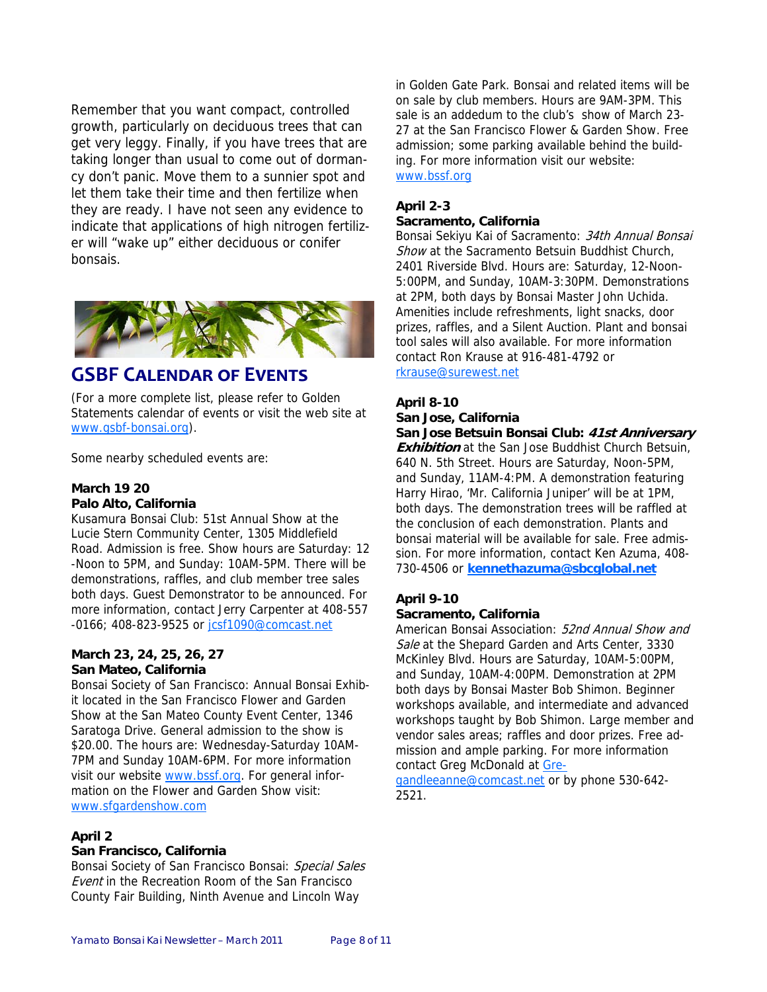Remember that you want compact, controlled growth, particularly on deciduous trees that can get very leggy. Finally, if you have trees that are taking longer than usual to come out of dormancy don't panic. Move them to a sunnier spot and let them take their time and then fertilize when they are ready. I have not seen any evidence to indicate that applications of high nitrogen fertilizer will "wake up" either deciduous or conifer bonsais.



### **GSBF CALENDAR OF EVENTS**

(For a more complete list, please refer to Golden Statements calendar of events or visit the web site at www.gsbf-bonsai.org).

Some nearby scheduled events are:

#### **March 19 20 Palo Alto, California**

Kusamura Bonsai Club: 51st Annual Show at the Lucie Stern Community Center, 1305 Middlefield Road. Admission is free. Show hours are Saturday: 12 -Noon to 5PM, and Sunday: 10AM-5PM. There will be demonstrations, raffles, and club member tree sales both days. Guest Demonstrator to be announced. For more information, contact Jerry Carpenter at 408-557 -0166; 408-823-9525 or jcsf1090@comcast.net

#### **March 23, 24, 25, 26, 27 San Mateo, California**

Bonsai Society of San Francisco: Annual Bonsai Exhibit located in the San Francisco Flower and Garden Show at the San Mateo County Event Center, 1346 Saratoga Drive. General admission to the show is \$20.00. The hours are: Wednesday-Saturday 10AM-7PM and Sunday 10AM-6PM. For more information visit our website www.bssf.org. For general information on the Flower and Garden Show visit: www.sfgardenshow.com

#### **April 2**

#### **San Francisco, California**

Bonsai Society of San Francisco Bonsai: Special Sales Event in the Recreation Room of the San Francisco County Fair Building, Ninth Avenue and Lincoln Way

in Golden Gate Park. Bonsai and related items will be on sale by club members. Hours are 9AM-3PM. This sale is an addedum to the club's show of March 23- 27 at the San Francisco Flower & Garden Show. Free admission; some parking available behind the building. For more information visit our website: www.bssf.org

#### **April 2-3**

#### **Sacramento, California**

Bonsai Sekiyu Kai of Sacramento: 34th Annual Bonsai Show at the Sacramento Betsuin Buddhist Church, 2401 Riverside Blvd. Hours are: Saturday, 12-Noon-5:00PM, and Sunday, 10AM-3:30PM. Demonstrations at 2PM, both days by Bonsai Master John Uchida. Amenities include refreshments, light snacks, door prizes, raffles, and a Silent Auction. Plant and bonsai tool sales will also available. For more information contact Ron Krause at 916-481-4792 or rkrause@surewest.net

#### **April 8-10 San Jose, California**

**San Jose Betsuin Bonsai Club: 41st Anniversary Exhibition** at the San Jose Buddhist Church Betsuin, 640 N. 5th Street. Hours are Saturday, Noon-5PM, and Sunday, 11AM-4:PM. A demonstration featuring Harry Hirao, 'Mr. California Juniper' will be at 1PM, both days. The demonstration trees will be raffled at the conclusion of each demonstration. Plants and bonsai material will be available for sale. Free admission. For more information, contact Ken Azuma, 408- 730-4506 or **kennethazuma@sbcglobal.net**

#### **April 9-10**

#### **Sacramento, California**

American Bonsai Association: 52nd Annual Show and Sale at the Shepard Garden and Arts Center, 3330 McKinley Blvd. Hours are Saturday, 10AM-5:00PM, and Sunday, 10AM-4:00PM. Demonstration at 2PM both days by Bonsai Master Bob Shimon. Beginner workshops available, and intermediate and advanced workshops taught by Bob Shimon. Large member and vendor sales areas; raffles and door prizes. Free admission and ample parking. For more information contact Greg McDonald at Gre-

gandleeanne@comcast.net or by phone 530-642-2521.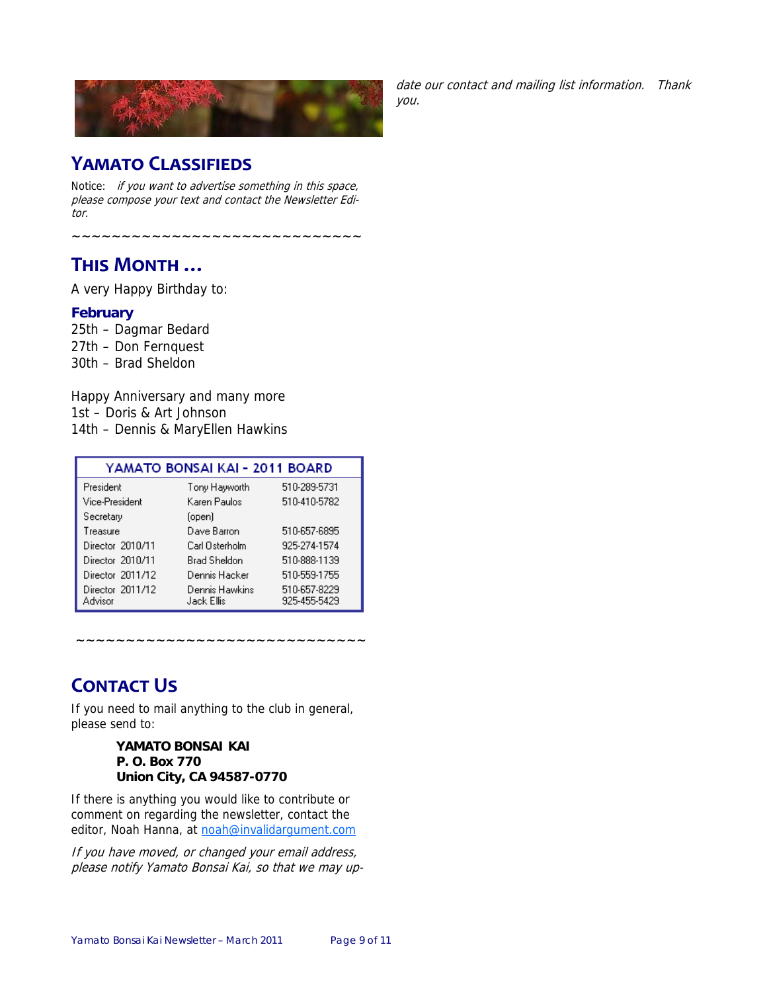

#### date our contact and mailing list information. Thank you.

### **YAMATO CLASSIFIEDS**

Notice: if you want to advertise something in this space, please compose your text and contact the Newsletter Editor.

~~~~~~~~~~~~~~~~~~~~~~~~~

# **THIS MONTH …**

A very Happy Birthday to:

#### **February**

25th – Dagmar Bedard 27th – Don Fernquest 30th – Brad Sheldon

Happy Anniversary and many more 1st – Doris & Art Johnson 14th – Dennis & MaryEllen Hawkins

| YAMATO BONSAI KAI - 2011 BOARD |                              |                              |  |
|--------------------------------|------------------------------|------------------------------|--|
| President                      | Tony Hayworth                | 510-289-5731                 |  |
| Vice-President                 | Karen Paulos                 | 510-410-5782                 |  |
| Secretary                      | (open)                       |                              |  |
| Treasure                       | Dave Barron                  | 510-657-6895                 |  |
| Director 2010/11               | Carl Osterholm               | 925-274-1574                 |  |
| Director 2010/11               | <b>Brad Sheldon</b>          | 510-888-1139                 |  |
| Director 2011/12               | Dennis Hacker                | 510-559-1755                 |  |
| Director 2011/12<br>Advisor    | Dennis Hawkins<br>Jack Ellis | 510-657-8229<br>925-455-5429 |  |

~~~~~~~~~~~~~~~~~~~~~~~~~~~~~

# **CONTACT US**

If you need to mail anything to the club in general, please send to:

#### **YAMATO BONSAI KAI P. O. Box 770 Union City, CA 94587-0770**

If there is anything you would like to contribute or comment on regarding the newsletter, contact the editor, Noah Hanna, at noah@invalidargument.com

If you have moved, or changed your email address, please notify Yamato Bonsai Kai, so that we may up-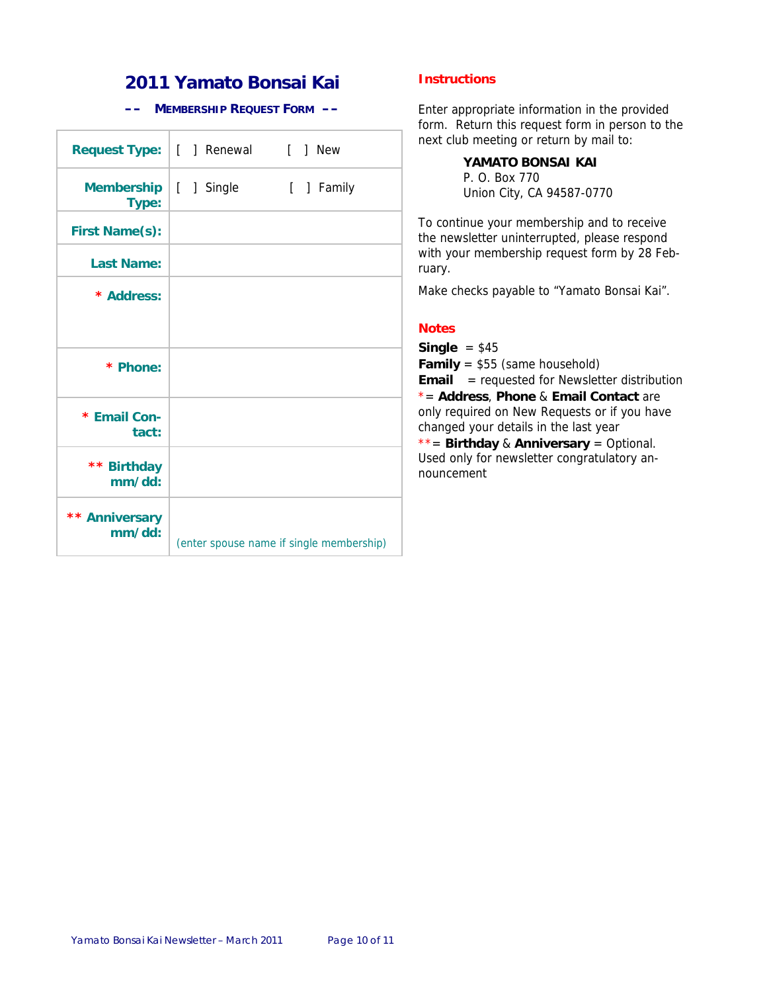### **2011 Yamato Bonsai Kai**

#### **–– MEMBERSHIP REQUEST FORM ––**

|                            | Request Type:   [ ] Renewal [ ] New |                                          |
|----------------------------|-------------------------------------|------------------------------------------|
| <b>Membership</b><br>Type: | [ ] Single                          | [ ] Family                               |
| <b>First Name(s):</b>      |                                     |                                          |
| <b>Last Name:</b>          |                                     |                                          |
| * Address:                 |                                     |                                          |
| * Phone:                   |                                     |                                          |
| * Email Con-<br>tact:      |                                     |                                          |
| ** Birthday<br>mm/dd:      |                                     |                                          |
| ** Anniversary<br>mm/dd:   |                                     | (enter spouse name if single membership) |

#### **Instructions**

Enter appropriate information in the provided form. Return this request form in person to the next club meeting or return by mail to:

> **YAMATO BONSAI KAI**  P. O. Box 770 Union City, CA 94587-0770

To continue your membership and to receive the newsletter uninterrupted, please respond with your membership request form by 28 February.

Make checks payable to "Yamato Bonsai Kai".

#### **Notes**

**Single** = \$45

**Family** = \$55 (same household)

**Email** = requested for Newsletter distribution \*= **Address**, **Phone** & **Email Contact** are only required on New Requests or if you have changed your details in the last year

\*\*= **Birthday** & **Anniversary** = Optional. Used only for newsletter congratulatory announcement